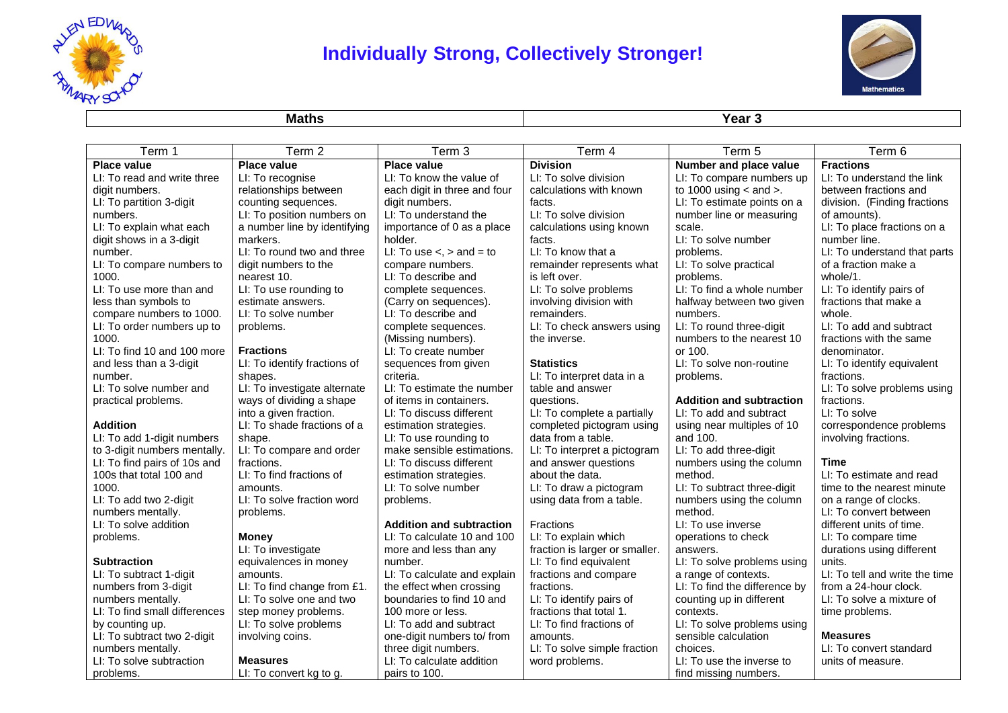

## **Individually Strong, Collectively Stronger!**



**Maths Year 3**

| Term 1                        | Term 2                       | Term 3                            | Term 4                         | Term 5                          | Term 6                         |
|-------------------------------|------------------------------|-----------------------------------|--------------------------------|---------------------------------|--------------------------------|
| <b>Place value</b>            | <b>Place value</b>           | <b>Place value</b>                | <b>Division</b>                | Number and place value          | <b>Fractions</b>               |
| LI: To read and write three   | LI: To recognise             | LI: To know the value of          | LI: To solve division          | LI: To compare numbers up       | LI: To understand the link     |
| digit numbers.                | relationships between        | each digit in three and four      | calculations with known        | to 1000 using $<$ and $>$ .     | between fractions and          |
| LI: To partition 3-digit      | counting sequences.          | digit numbers.                    | facts.                         | LI: To estimate points on a     | division. (Finding fractions   |
| numbers.                      | LI: To position numbers on   | LI: To understand the             | LI: To solve division          | number line or measuring        | of amounts).                   |
| LI: To explain what each      | a number line by identifying | importance of 0 as a place        | calculations using known       | scale.                          | LI: To place fractions on a    |
| digit shows in a 3-digit      | markers.                     | holder.                           | facts.                         | LI: To solve number             | number line.                   |
| number.                       | LI: To round two and three   | LI: To use $\lt$ , $>$ and $=$ to | LI: To know that a             | problems.                       | LI: To understand that parts   |
| LI: To compare numbers to     | digit numbers to the         | compare numbers.                  | remainder represents what      | LI: To solve practical          | of a fraction make a           |
| 1000.                         | nearest 10.                  | LI: To describe and               | is left over.                  | problems.                       | whole/1.                       |
| LI: To use more than and      | LI: To use rounding to       | complete sequences.               | LI: To solve problems          | LI: To find a whole number      | LI: To identify pairs of       |
| less than symbols to          | estimate answers.            | (Carry on sequences).             | involving division with        | halfway between two given       | fractions that make a          |
| compare numbers to 1000.      | LI: To solve number          | LI: To describe and               | remainders.                    | numbers.                        | whole.                         |
| LI: To order numbers up to    | problems.                    | complete sequences.               | LI: To check answers using     | LI: To round three-digit        | LI: To add and subtract        |
| 1000.                         |                              | (Missing numbers).                | the inverse.                   | numbers to the nearest 10       | fractions with the same        |
| LI: To find 10 and 100 more   | <b>Fractions</b>             | LI: To create number              |                                | or 100.                         | denominator.                   |
| and less than a 3-digit       | LI: To identify fractions of | sequences from given              | <b>Statistics</b>              | LI: To solve non-routine        | LI: To identify equivalent     |
| number.                       | shapes.                      | criteria.                         | LI: To interpret data in a     | problems.                       | fractions.                     |
| LI: To solve number and       | LI: To investigate alternate | LI: To estimate the number        | table and answer               |                                 | LI: To solve problems using    |
| practical problems.           | ways of dividing a shape     | of items in containers.           | questions.                     | <b>Addition and subtraction</b> | fractions.                     |
|                               | into a given fraction.       | LI: To discuss different          | LI: To complete a partially    | LI: To add and subtract         | LI: To solve                   |
| <b>Addition</b>               | LI: To shade fractions of a  | estimation strategies.            | completed pictogram using      | using near multiples of 10      | correspondence problems        |
| LI: To add 1-digit numbers    | shape.                       | LI: To use rounding to            | data from a table.             | and 100.                        | involving fractions.           |
| to 3-digit numbers mentally.  | LI: To compare and order     | make sensible estimations.        | LI: To interpret a pictogram   | LI: To add three-digit          |                                |
| LI: To find pairs of 10s and  | fractions.                   | LI: To discuss different          | and answer questions           | numbers using the column        | <b>Time</b>                    |
| 100s that total 100 and       | LI: To find fractions of     | estimation strategies.            | about the data.                | method.                         | LI: To estimate and read       |
| 1000.                         | amounts.                     | LI: To solve number               | LI: To draw a pictogram        | LI: To subtract three-digit     | time to the nearest minute     |
| LI: To add two 2-digit        | LI: To solve fraction word   | problems.                         | using data from a table.       | numbers using the column        | on a range of clocks.          |
| numbers mentally.             | problems.                    |                                   |                                | method.                         | LI: To convert between         |
| LI: To solve addition         |                              | <b>Addition and subtraction</b>   | Fractions                      | LI: To use inverse              | different units of time.       |
| problems.                     | <b>Money</b>                 | LI: To calculate 10 and 100       | LI: To explain which           | operations to check             | LI: To compare time            |
|                               | LI: To investigate           | more and less than any            | fraction is larger or smaller. | answers.                        | durations using different      |
| <b>Subtraction</b>            | equivalences in money        | number.                           | LI: To find equivalent         | LI: To solve problems using     | units.                         |
| LI: To subtract 1-digit       | amounts.                     | LI: To calculate and explain      | fractions and compare          | a range of contexts.            | LI: To tell and write the time |
| numbers from 3-digit          | LI: To find change from £1.  | the effect when crossing          | fractions.                     | LI: To find the difference by   | from a 24-hour clock.          |
| numbers mentally.             | LI: To solve one and two     | boundaries to find 10 and         | LI: To identify pairs of       | counting up in different        | LI: To solve a mixture of      |
| LI: To find small differences | step money problems.         | 100 more or less.                 | fractions that total 1.        | contexts.                       | time problems.                 |
| by counting up.               | LI: To solve problems        | LI: To add and subtract           | LI: To find fractions of       | LI: To solve problems using     |                                |
| LI: To subtract two 2-digit   | involving coins.             | one-digit numbers to/ from        | amounts.                       | sensible calculation            | <b>Measures</b>                |
| numbers mentally.             |                              | three digit numbers.              | LI: To solve simple fraction   | choices.                        | LI: To convert standard        |
| LI: To solve subtraction      | <b>Measures</b>              | LI: To calculate addition         | word problems.                 | LI: To use the inverse to       | units of measure.              |
| problems.                     | LI: To convert kg to g.      | pairs to 100.                     |                                | find missing numbers.           |                                |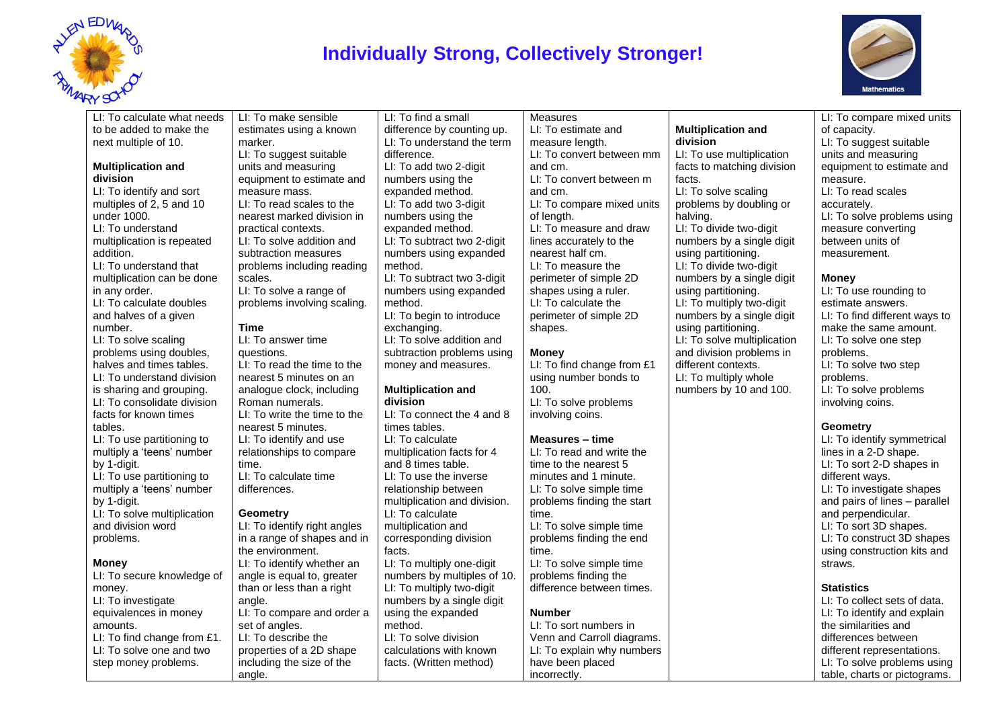

### **Individually Strong, Collectively Stronger!**



LI: To calculate what needs to be added to make the next multiple of 10.

#### **Multiplication and division**

LI: To identify and sort multiples of 2, 5 and 10 under 1000.

LI: To understand multiplication is repeated addition.

LI: To understand that multiplication can be done in any order.

LI: To calculate doubles and halves of a given number.

LI: To solve scaling problems using doubles, halves and times tables. LI: To understand division is sharing and grouping. LI: To consolidate division facts for known times tables. LI: To use partitioning to multiply a 'teens' number by 1-digit. LI: To use partitioning to multiply a 'teens' number by 1-digit. LI: To solve multiplication and division word

#### **Money**

problems.

LI: To secure knowledge of money. LI: To investigate equivalences in money amounts. LI: To find change from £1. LI: To solve one and two step money problems.

estimates using a known marker. LI: To suggest suitable units and measuring equipment to estimate and measure mass. LI: To read scales to the nearest marked division in practical contexts. LI: To solve addition and subtraction measures problems including reading scales. LI: To solve a range of problems involving scaling.

LI: To make sensible

#### **Time**

LI: To answer time questions. LI: To read the time to the nearest 5 minutes on an analogue clock, including Roman numerals. LI: To write the time to the nearest 5 minutes. LI: To identify and use relationships to compare time. LI: To calculate time differences.

#### **Geometry**

LI: To identify right angles in a range of shapes and in the environment. LI: To identify whether an angle is equal to, greater than or less than a right angle. LI: To compare and order a set of angles. LI: To describe the properties of a 2D shape including the size of the angle.

LI: To find a small difference by counting up. LI: To understand the term difference. LI: To add two 2-digit numbers using the expanded method. LI: To add two 3-digit numbers using the expanded method. LI: To subtract two 2-digit numbers using expanded method. LI: To subtract two 3-digit numbers using expanded method. LI: To begin to introduce exchanging. LI: To solve addition and subtraction problems using

#### **Multiplication and division**

money and measures.

LI: To connect the 4 and 8 times tables. LI: To calculate multiplication facts for 4 and 8 times table. LI: To use the inverse relationship between multiplication and division. LI: To calculate multiplication and corresponding division facts. LI: To multiply one-digit numbers by multiples of 10. LI: To multiply two-digit numbers by a single digit using the expanded method. LI: To solve division calculations with known

facts. (Written method)

Measures LI: To estimate and measure length. LI: To convert between mm and cm. LI: To convert between m and cm. LI: To compare mixed units of length. LI: To measure and draw lines accurately to the nearest half cm. LI: To measure the perimeter of simple 2D shapes using a ruler. LI: To calculate the perimeter of simple 2D shapes.

#### **Money**

LI: To find change from £1 using number bonds to 100. LI: To solve problems involving coins.

#### **Measures – time**

LI: To read and write the time to the nearest 5 minutes and 1 minute. LI: To solve simple time problems finding the start time. LI: To solve simple time problems finding the end time. LI: To solve simple time problems finding the difference between times.

#### **Number**

LI: To sort numbers in Venn and Carroll diagrams. LI: To explain why numbers have been placed incorrectly.

### **Multiplication and division**

LI: To use multiplication facts to matching division facts.

LI: To solve scaling problems by doubling or halving. LI: To divide two-digit numbers by a single digit using partitioning. LI: To divide two-digit numbers by a single digit using partitioning. LI: To multiply two-digit numbers by a single digit using partitioning. LI: To solve multiplication and division problems in different contexts. LI: To multiply whole numbers by 10 and 100.

LI: To compare mixed units of capacity. LI: To suggest suitable units and measuring equipment to estimate and measure. LI: To read scales accurately. LI: To solve problems using measure converting between units of measurement.

### **Money**

LI: To use rounding to estimate answers. LI: To find different ways to make the same amount. LI: To solve one step problems. LI: To solve two step problems. LI: To solve problems involving coins.

#### **Geometry**

LI: To identify symmetrical lines in a 2-D shape. LI: To sort 2-D shapes in different ways. LI: To investigate shapes and pairs of lines – parallel and perpendicular. LI: To sort 3D shapes. LI: To construct 3D shapes using construction kits and straws.

#### **Statistics**

LI: To collect sets of data. LI: To identify and explain the similarities and differences between different representations. LI: To solve problems using table, charts or pictograms.